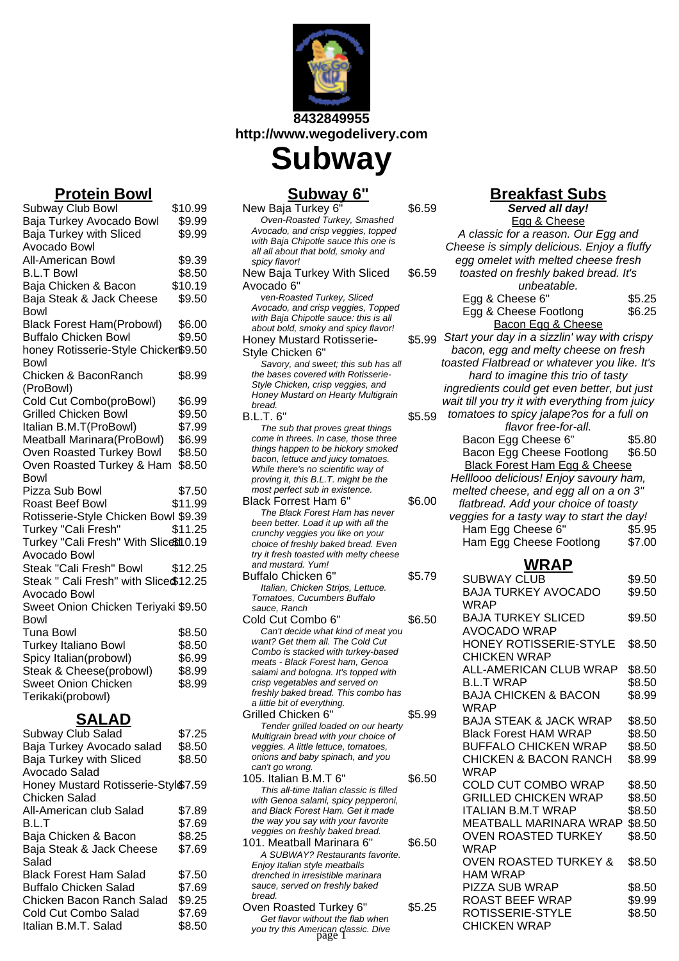

**8432849955 http://www.wegodelivery.com**

**Subway Subway 6"**

|             |                         | <u> Subway o</u>                                                                  |        |
|-------------|-------------------------|-----------------------------------------------------------------------------------|--------|
|             | \$10.99                 | New Baja Turkey 6'                                                                | \$6.59 |
| owl         | \$9.99                  | Oven-Roasted Turkey, Smashed                                                      |        |
|             | \$9.99                  | Avocado, and crisp veggies, topped                                                |        |
|             |                         | with Baja Chipotle sauce this one is                                              |        |
|             |                         | all all about that bold, smoky and                                                |        |
|             | \$9.39                  | spicy flavor!                                                                     |        |
|             | \$8.50                  | New Baja Turkey With Sliced                                                       | \$6.59 |
|             | \$10.19                 | Avocado 6"                                                                        |        |
| ese         | \$9.50                  | ven-Roasted Turkey, Sliced                                                        |        |
|             |                         | Avocado, and crisp veggies, Topped                                                |        |
|             | \$6.00                  | with Baja Chipotle sauce: this is all                                             |        |
| owl)        |                         | about bold, smoky and spicy flavor!                                               |        |
|             | \$9.50                  | <b>Honey Mustard Rotisserie-</b>                                                  | \$5.99 |
|             | Chicker\$9.50           | Style Chicken 6"                                                                  |        |
|             |                         | Savory, and sweet; this sub has all                                               |        |
| ٦           | \$8.99                  | the bases covered with Rotisserie-                                                |        |
|             |                         | Style Chicken, crisp veggies, and                                                 |        |
| wl)         | \$6.99                  | Honey Mustard on Hearty Multigrain                                                |        |
|             |                         | bread.                                                                            |        |
|             | \$9.50                  | <b>B.L.T. 6"</b>                                                                  | \$5.59 |
|             | \$7.99                  | The sub that proves great things                                                  |        |
| 3owl)       | \$6.99                  | come in threes. In case, those three                                              |        |
| <b>Bowl</b> | \$8.50                  | things happen to be hickory smoked                                                |        |
| & Ham       | \$8.50                  | bacon, lettuce and juicy tomatoes.                                                |        |
|             |                         | While there's no scientific way of                                                |        |
|             |                         | proving it, this B.L.T. might be the                                              |        |
|             | \$7.50                  | most perfect sub in existence.                                                    |        |
|             | \$11.99                 | Black Forrest Ham 6"                                                              | \$6.00 |
|             | n Bowl \$9.39           | The Black Forest Ham has never                                                    |        |
|             | \$11.25                 | been better. Load it up with all the                                              |        |
|             | th Slice $$10.19$       | crunchy veggies you like on your                                                  |        |
|             |                         | choice of freshly baked bread. Even<br>try it fresh toasted with melty cheese     |        |
|             |                         |                                                                                   |        |
|             |                         |                                                                                   |        |
| ١I          | \$12.25                 | and mustard. Yum!                                                                 |        |
|             | า Slice \$12.25         | Buffalo Chicken 6"                                                                | \$5.79 |
|             |                         | Italian, Chicken Strips, Lettuce.                                                 |        |
|             |                         | Tomatoes, Cucumbers Buffalo                                                       |        |
|             | Feriyaki \$9.50         | sauce, Ranch                                                                      |        |
|             |                         | Cold Cut Combo 6"                                                                 | \$6.50 |
|             | \$8.50                  | Can't decide what kind of meat you                                                |        |
|             | \$8.50                  | want? Get them all. The Cold Cut                                                  |        |
|             | \$6.99                  | Combo is stacked with turkey-based<br>meats - Black Forest ham, Genoa             |        |
| wl)         | \$8.99                  | salami and bologna. It's topped with                                              |        |
|             |                         | crisp vegetables and served on                                                    |        |
|             | \$8.99                  | freshly baked bread. This combo has                                               |        |
|             |                         | a little bit of everything.                                                       |        |
|             |                         | Grilled Chicken 6"                                                                | \$5.99 |
|             |                         | Tender grilled loaded on our hearty                                               |        |
|             | \$7.25                  | Multigrain bread with your choice of                                              |        |
| alad        | \$8.50                  | veggies. A little lettuce, tomatoes,                                              |        |
| I           | \$8.50                  | onions and baby spinach, and you                                                  |        |
|             |                         | can't go wrong.                                                                   |        |
|             |                         | 105. Italian B.M.T 6"                                                             | \$6.50 |
|             | erie-Styl <b>ଈ</b> 7.59 | This all-time Italian classic is filled                                           |        |
|             |                         | with Genoa salami, spicy pepperoni,                                               |        |
| d           | \$7.89                  | and Black Forest Ham. Get it made                                                 |        |
|             | \$7.69                  | the way you say with your favorite                                                |        |
|             | \$8.25                  | veggies on freshly baked bread.                                                   |        |
| ese         |                         | 101. Meatball Marinara 6"                                                         | \$6.50 |
|             | \$7.69                  | A SUBWAY? Restaurants favorite.                                                   |        |
|             |                         | Enjoy Italian style meatballs                                                     |        |
| d           | \$7.50                  | drenched in irresistible marinara                                                 |        |
|             | \$7.69                  | sauce, served on freshly baked                                                    |        |
| Salad       | \$9.25                  | bread.                                                                            |        |
|             | \$7.69                  | Oven Roasted Turkey 6"                                                            | \$5.25 |
|             | \$8.50                  | Get flavor without the flab when<br>you try this American classic. Dive<br>page 1 |        |

# **Breakfast Subs**

| . .<br><br>Served all day!                          |        |  |
|-----------------------------------------------------|--------|--|
| Egg & Cheese                                        |        |  |
| A classic for a reason. Our Egg and                 |        |  |
| Cheese is simply delicious. Enjoy a fluffy          |        |  |
| egg omelet with melted cheese fresh                 |        |  |
|                                                     |        |  |
| toasted on freshly baked bread. It's                |        |  |
| unbeatable.                                         |        |  |
| Egg & Cheese 6"                                     | \$5.25 |  |
| Egg & Cheese Footlong                               | \$6.25 |  |
| Bacon Egg & Cheese                                  |        |  |
| Start your day in a sizzlin' way with crispy        |        |  |
| bacon, egg and melty cheese on fresh                |        |  |
| toasted Flatbread or whatever you like. It's        |        |  |
| hard to imagine this trio of tasty                  |        |  |
| ingredients could get even better, but just         |        |  |
| wait till you try it with everything from juicy     |        |  |
| tomatoes to spicy jalape?os for a full on           |        |  |
| flavor free-for-all.                                |        |  |
| Bacon Egg Cheese 6"                                 | \$5.80 |  |
| Bacon Egg Cheese Footlong                           | \$6.50 |  |
| <b>Black Forest Ham Egg &amp; Cheese</b>            |        |  |
| Helllooo delicious! Enjoy savoury ham,              |        |  |
| melted cheese, and egg all on a on 3"               |        |  |
| flatbread. Add your choice of toasty                |        |  |
| veggies for a tasty way to start the day!           |        |  |
| Ham Egg Cheese 6"                                   | \$5.95 |  |
| Ham Egg Cheese Footlong                             | \$7.00 |  |
|                                                     |        |  |
| WRAP                                                |        |  |
| <b>SUBWAY CLUB</b>                                  | \$9.50 |  |
| <b>BAJA TURKEY AVOCADO</b>                          | \$9.50 |  |
| WRAP                                                |        |  |
| <b>BAJA TURKEY SLICED</b>                           | \$9.50 |  |
| AVOCADO WRAP                                        |        |  |
| HONEY ROTISSERIE-STYLE                              | \$8.50 |  |
| <b>CHICKEN WRAP</b>                                 |        |  |
| ALL-AMERICAN CLUB WRAP                              | \$8.50 |  |
| <b>B.L.T WRAP</b>                                   | \$8.50 |  |
| <b>BAJA CHICKEN &amp; BACON</b>                     | \$8.99 |  |
| WRAP                                                |        |  |
| <b>BAJA STEAK &amp; JACK WRAP</b>                   | \$8.50 |  |
| <b>Black Forest HAM WRAP</b>                        | \$8.50 |  |
| <b>BUFFALO CHICKEN WRAP</b>                         | \$8.50 |  |
| <b>CHICKEN &amp; BACON RANCH</b>                    | \$8.99 |  |
| WRAP                                                |        |  |
| COLD CUT COMBO WRAP                                 | \$8.50 |  |
| <b>GRILLED CHICKEN WRAP</b>                         | \$8.50 |  |
| <b>ITALIAN B.M.T WRAP</b>                           |        |  |
|                                                     | \$8.50 |  |
| MEATBALL MARINARA WRAP \$8.50                       |        |  |
| <b>OVEN ROASTED TURKEY</b>                          | \$8.50 |  |
| WRAP                                                |        |  |
| <b>OVEN ROASTED TURKEY &amp;</b><br><b>HAM WRAP</b> | \$8.50 |  |
|                                                     |        |  |
|                                                     |        |  |
| PIZZA SUB WRAP                                      | \$8.50 |  |
| <b>ROAST BEEF WRAP</b>                              | \$9.99 |  |
| ROTISSERIE-STYLE<br><b>CHICKEN WRAP</b>             | \$8.50 |  |

# **Protein Bowl**

| Subway Club Bowl                       | \$10.99 |
|----------------------------------------|---------|
| Baja Turkey Avocado Bowl               | \$9.99  |
| <b>Baja Turkey with Sliced</b>         | \$9.99  |
| Avocado Bowl                           |         |
| All-American Bowl                      | \$9.39  |
| <b>B.L.T Bowl</b>                      | \$8.50  |
| Baja Chicken & Bacon                   | \$10.19 |
| Baja Steak & Jack Cheese               | \$9.50  |
| Bowl                                   |         |
| <b>Black Forest Ham(Probowl)</b>       | \$6.00  |
| <b>Buffalo Chicken Bowl</b>            | \$9.50  |
| honey Rotisserie-Style Chicker\$9.50   |         |
| Bowl                                   |         |
| Chicken & BaconRanch                   | \$8.99  |
| (ProBowl)                              |         |
| Cold Cut Combo(proBowl)                | \$6.99  |
| <b>Grilled Chicken Bowl</b>            | \$9.50  |
| Italian B.M.T(ProBowl)                 | \$7.99  |
| Meatball Marinara(ProBowl)             | \$6.99  |
| Oven Roasted Turkey Bowl               | \$8.50  |
| Oven Roasted Turkey & Ham              | \$8.50  |
| Bowl                                   |         |
| Pizza Sub Bowl                         | \$7.50  |
| Roast Beef Bowl                        | \$11.99 |
| Rotisserie-Style Chicken Bowl \$9.39   |         |
| Turkey "Cali Fresh"                    | \$11.25 |
| Turkey "Cali Fresh" With Slicetion 19  |         |
| Avocado Bowl                           |         |
| Steak "Cali Fresh" Bowl                | \$12.25 |
| Steak " Cali Fresh" with Slice \$12.25 |         |
| Avocado Bowl                           |         |
| Sweet Onion Chicken Teriyaki \$9.50    |         |
| Bowl                                   |         |
| Tuna Bowl                              | \$8.50  |
| Turkey Italiano Bowl                   | \$8.50  |
| Spicy Italian(probowl)                 | \$6.99  |
| Steak & Cheese(probowl)                | \$8.99  |
| <b>Sweet Onion Chicken</b>             | \$8.99  |
| Terikaki(probowl)                      |         |

## **SALAD**

| Subway Club Salad                  | \$7.25 |
|------------------------------------|--------|
| Baja Turkey Avocado salad          | \$8.50 |
| Baja Turkey with Sliced            | \$8.50 |
| Avocado Salad                      |        |
| Honey Mustard Rotisserie-Styl&7.59 |        |
| Chicken Salad                      |        |
| All-American club Salad            | \$7.89 |
| B.L.T                              | \$7.69 |
| Baja Chicken & Bacon               | \$8.25 |
| Baja Steak & Jack Cheese           | \$7.69 |
| Salad                              |        |
| Black Forest Ham Salad             | \$7.50 |
| Buffalo Chicken Salad              | \$7.69 |
| Chicken Bacon Ranch Salad          | \$9.25 |
| Cold Cut Combo Salad               | \$7.69 |
| Italian B.M.T. Salad               | \$8.50 |
|                                    |        |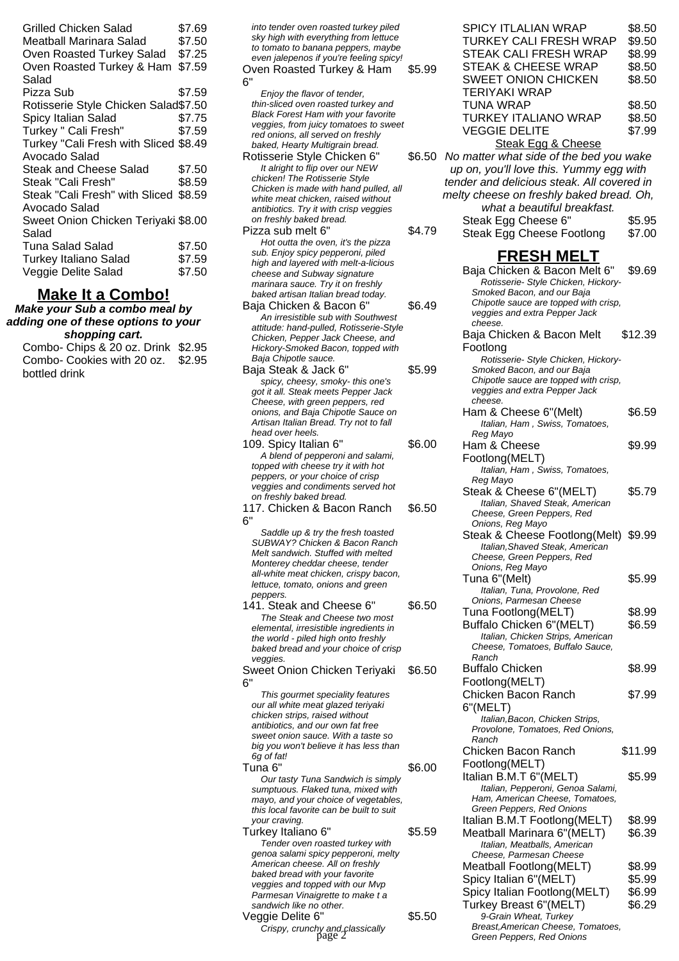| Grilled Chicken Salad<br>Meatball Marinara Salad<br>Oven Roasted Turkey Salad<br>Oven Roasted Turkey & Ham<br>Salad | \$7.69<br>\$7.50<br>\$7.25<br>\$7.59 |
|---------------------------------------------------------------------------------------------------------------------|--------------------------------------|
| Pizza Sub                                                                                                           | \$7.59                               |
| Rotisserie Style Chicken Salad\$7.50                                                                                |                                      |
| Spicy Italian Salad                                                                                                 | \$7.75                               |
| Turkey " Cali Fresh"                                                                                                | \$7.59                               |
| Turkey "Cali Fresh with Sliced \$8.49                                                                               |                                      |
| Avocado Salad                                                                                                       |                                      |
| <b>Steak and Cheese Salad</b>                                                                                       | \$7.50                               |
| Steak "Cali Fresh"                                                                                                  | \$8.59                               |
| Steak "Cali Fresh" with Sliced<br>Avocado Salad                                                                     | \$8.59                               |
| Sweet Onion Chicken Teriyaki \$8.00<br>Salad                                                                        |                                      |
| <b>Tuna Salad Salad</b>                                                                                             | \$7.50                               |
| <b>Turkey Italiano Salad</b>                                                                                        | \$7.59                               |
| Veggie Delite Salad                                                                                                 | \$7.50                               |

## **Make It a Combo!**

**Make your Sub a combo meal by adding one of these options to your shopping cart.**

Combo- Chips & 20 oz. Drink \$2.95 Combo- Cookies with 20 oz. \$2.95 bottled drink

| into tender oven roasted turkey piled<br>sky high with everything from lettuce<br>to tomato to banana peppers, maybe<br>even jalepenos if you're feeling spicy!<br>Oven Roasted Turkey & Ham<br>6" | \$5.99 |
|----------------------------------------------------------------------------------------------------------------------------------------------------------------------------------------------------|--------|
| Enjoy the flavor of tender,                                                                                                                                                                        |        |
| thin-sliced oven roasted turkey and                                                                                                                                                                |        |
| <b>Black Forest Ham with your favorite</b>                                                                                                                                                         |        |
| veggies, from juicy tomatoes to sweet                                                                                                                                                              |        |
| red onions, all served on freshly                                                                                                                                                                  |        |
| baked, Hearty Multigrain bread.                                                                                                                                                                    |        |
| Rotisserie Style Chicken 6"                                                                                                                                                                        | \$6.50 |
| It alright to flip over our NEW                                                                                                                                                                    |        |
| chicken! The Rotisserie Style                                                                                                                                                                      |        |
| Chicken is made with hand pulled, all                                                                                                                                                              |        |
| white meat chicken, raised without                                                                                                                                                                 |        |
| antibiotics. Try it with crisp veggies                                                                                                                                                             |        |
| on freshly baked bread.                                                                                                                                                                            |        |

- Pizza sub melt 6" \$4.79 Hot outta the oven, it's the pizza sub. Enjoy spicy pepperoni, piled high and layered with melt-a-licious cheese and Subway signature marinara sauce. Try it on freshly baked artisan Italian bread today.
- Baja Chicken & Bacon 6" \$6.49 An irresistible sub with Southwest attitude: hand-pulled, Rotisserie-Style Chicken, Pepper Jack Cheese, and Hickory-Smoked Bacon, topped with Baja Chipotle sauce.
- Baja Steak & Jack 6" \$5.99 spicy, cheesy, smoky- this one's got it all. Steak meets Pepper Jack Cheese, with green peppers, red onions, and Baja Chipotle Sauce on Artisan Italian Bread. Try not to fall head over heels.
- 109. Spicy Italian 6" \$6.00 A blend of pepperoni and salami, topped with cheese try it with hot peppers, or your choice of crisp veggies and condiments served hot on freshly baked bread.
- 117. Chicken & Bacon Ranch 6" \$6.50

Saddle up & try the fresh toasted SUBWAY? Chicken & Bacon Ranch Melt sandwich. Stuffed with melted Monterey cheddar cheese, tender all-white meat chicken, crispy bacon, lettuce, tomato, onions and green peppers.

- 141. Steak and Cheese 6" \$6.50 The Steak and Cheese two most elemental, irresistible ingredients in the world - piled high onto freshly baked bread and your choice of crisp veggies
- Sweet Onion Chicken Teriyaki 6" \$6.50 This gourmet speciality features

our all white meat glazed teriyaki chicken strips, raised without antibiotics, and our own fat free sweet onion sauce. With a taste so big you won't believe it has less than 6g of fat!

Tuna 6" \$6.00 Our tasty Tuna Sandwich is simply sumptuous. Flaked tuna, mixed with mayo, and your choice of vegetables, this local favorite can be built to suit your craving. Turkey Italiano 6" \$5.59

Tender oven roasted turkey with genoa salami spicy pepperoni, melty American cheese. All on freshly baked bread with your favorite veggies and topped with our Mvp Parmesan Vinaigrette to make t a sandwich like no other. Veggie Delite 6" \$5.50

 $\widetilde{C}$ rispy, crunchy and classically<br>page 2

| <b>SPICY ITLALIAN WRAP</b>              | \$8.50 |
|-----------------------------------------|--------|
| <b>TURKEY CALI FRESH WRAP</b>           | \$9.50 |
| STEAK CALI FRESH WRAP                   | \$8.99 |
| STEAK & CHEESE WRAP                     | \$8.50 |
| <b>SWEET ONION CHICKEN</b>              | \$8.50 |
| <b>TERIYAKI WRAP</b>                    |        |
| <b>TUNA WRAP</b>                        | \$8.50 |
| <b>TURKEY ITALIANO WRAP</b>             | \$8.50 |
| <b>VEGGIE DELITE</b>                    | \$7.99 |
| Steak Egg & Cheese                      |        |
| No matter what side of the bed you wake |        |
| up on, you'll love this. Yummy egg with |        |

up on, you'll love this. Yummy egg with tender and delicious steak. All covered in melty cheese on freshly baked bread. Oh, what a beautiful breakfast.

Steak Egg Cheese 6" \$5.95 Steak Egg Cheese Footlong \$7.00

## **FRESH MELT**

Baja Chicken & Bacon Melt 6" \$9.69 Rotisserie- Style Chicken, Hickory-Smoked Bacon, and our Baja Chipotle sauce are topped with crisp, veggies and extra Pepper Jack cheese. Baja Chicken & Bacon Melt Footlong \$12.39 Rotisserie- Style Chicken, Hickory-Smoked Bacon, and our Baja Chipotle sauce are topped with crisp, veggies and extra Pepper Jack cheese. Ham & Cheese 6"(Melt) \$6.59 Italian, Ham , Swiss, Tomatoes, Reg Mayo Ham & Cheese Footlong(MELT) \$9.99 Italian, Ham , Swiss, Tomatoes, Reg Mayo Steak & Cheese 6"(MELT) \$5.79 Italian, Shaved Steak, American Cheese, Green Peppers, Red Onions, Reg Mayo Steak & Cheese Footlong(Melt) \$9.99 Italian,Shaved Steak, American Cheese, Green Peppers, Red Onions, Reg Mayo Tuna 6"(Melt) 65.99 Italian, Tuna, Provolone, Red Onions, Parmesan Cheese Tuna Footlong(MELT) \$8.99 Buffalo Chicken 6"(MELT) \$6.59 Italian, Chicken Strips, American Cheese, Tomatoes, Buffalo Sauce, Ranch Buffalo Chicken Footlong(MELT) \$8.99 Chicken Bacon Ranch 6"(MELT) \$7.99 Italian,Bacon, Chicken Strips, Provolone, Tomatoes, Red Onions, Ranch Chicken Bacon Ranch Footlong(MELT) \$11.99 Italian B.M.T 6"(MELT) \$5.99 Italian, Pepperoni, Genoa Salami, Ham, American Cheese, Tomatoes, Green Peppers, Red Onions Italian B.M.T Footlong(MELT) \$8.99 Meatball Marinara 6"(MELT) \$6.39 Italian, Meatballs, American Cheese, Parmesan Cheese Meatball Footlong (MELT) \$8.99 Spicy Italian 6"(MELT) \$5.99 Spicy Italian Footlong(MELT) \$6.99<br>Turkey Breast 6"(MELT) \$6.29 Turkey Breast 6"(MELT) 9-Grain Wheat, Turkey Breast,American Cheese, Tomatoes, Green Peppers, Red Onions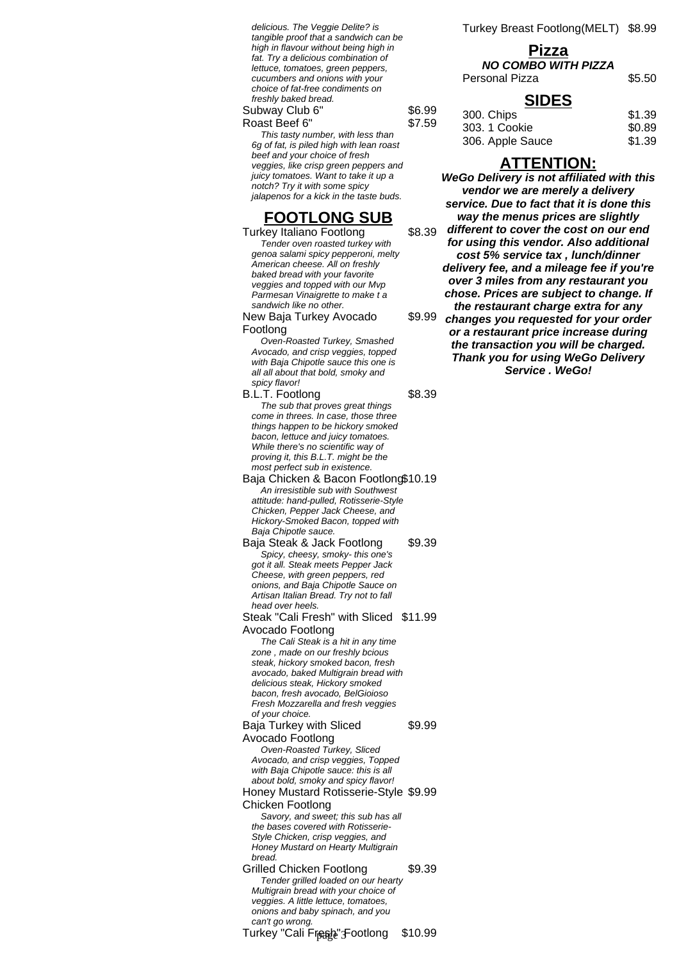delicious. The Veggie Delite? is tangible proof that a sandwich can be high in flavour without being high in fat. Try a delicious combination of lettuce, tomatoes, green peppers, cucumbers and onions with your choice of fat-free condiments on freshly baked bread.

#### Subway Club 6" \$6.99 Roast Beef 6" \$7.59

This tasty number, with less than 6g of fat, is piled high with lean roast beef and your choice of fresh veggies, like crisp green peppers and juicy tomatoes. Want to take it up a notch? Try it with some spicy jalapenos for a kick in the taste buds.

## **FOOTLONG SUB**

Turkey Italiano Footlong \$8.39 Tender oven roasted turkey with genoa salami spicy pepperoni, melty American cheese. All on freshly baked bread with your favorite veggies and topped with our Mvp Parmesan Vinaigrette to make t a sandwich like no other.

New Baja Turkey Avocado Footlong

Oven-Roasted Turkey, Smashed Avocado, and crisp veggies, topped with Baja Chipotle sauce this one is all all about that bold, smoky and spicy flavor!

B.L.T. Footlong \$8.39 The sub that proves great things come in threes. In case, those three things happen to be hickory smoked bacon, lettuce and juicy tomatoes. While there's no scientific way of proving it, this B.L.T. might be the most perfect sub in existence.

Baja Chicken & Bacon Footlong\$10.19 An irresistible sub with Southwest attitude: hand-pulled, Rotisserie-Style Chicken, Pepper Jack Cheese, and Hickory-Smoked Bacon, topped with Baja Chipotle sauce.

Baja Steak & Jack Footlong \$9.39 Spicy, cheesy, smoky- this one's got it all. Steak meets Pepper Jack Cheese, with green peppers, red onions, and Baja Chipotle Sauce on Artisan Italian Bread. Try not to fall head over heels. Steak "Cali Fresh" with Sliced \$11.99

Avocado Footlong The Cali Steak is a hit in any time zone , made on our freshly bcious steak, hickory smoked bacon, fresh avocado, baked Multigrain bread with delicious steak, Hickory smoked bacon, fresh avocado, BelGioioso Fresh Mozzarella and fresh veggies of your choice. Baja Turkey with Sliced Avocado Footlong \$9.99 Oven-Roasted Turkey, Sliced Avocado, and crisp veggies, Topped with Baja Chipotle sauce: this is all about bold, smoky and spicy flavor! Honey Mustard Rotisserie-Style \$9.99 Chicken Footlong Savory, and sweet; this sub has all the bases covered with Rotisserie-Style Chicken, crisp veggies, and Honey Mustard on Hearty Multigrain bread.

Grilled Chicken Footlong \$9.39 Tender grilled loaded on our hearty Multigrain bread with your choice of veggies. A little lettuce, tomatoes, onions and baby spinach, and you can't go wrong. Turkey "Cali Freeble" Footlong \$10.99 Turkey Breast Footlong(MELT) \$8.99

## **Pizza NO COMBO WITH PIZZA**

Personal Pizza \$5.50

## **SIDES**

| \$1.39 |
|--------|
| \$0.89 |
| \$1.39 |
|        |

## **ATTENTION:**

\$9.99 **WeGo Delivery is not affiliated with this vendor we are merely a delivery service. Due to fact that it is done this way the menus prices are slightly different to cover the cost on our end for using this vendor. Also additional cost 5% service tax , lunch/dinner delivery fee, and a mileage fee if you're over 3 miles from any restaurant you chose. Prices are subject to change. If the restaurant charge extra for any changes you requested for your order or a restaurant price increase during the transaction you will be charged. Thank you for using WeGo Delivery Service . WeGo!**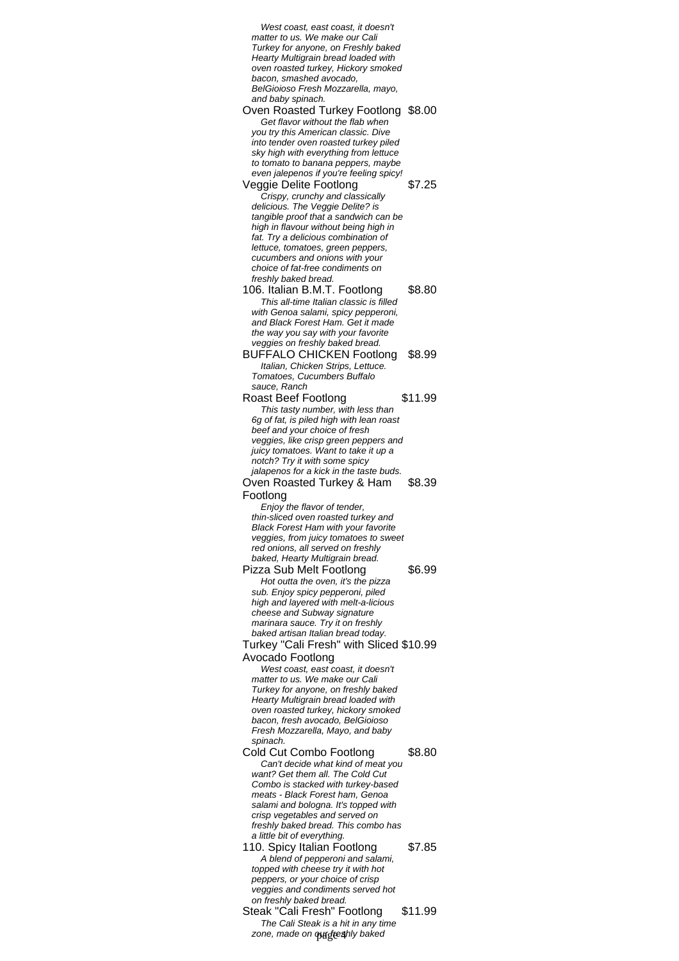West coast, east coast, it doesn't matter to us. We make our Cali Turkey for anyone, on Freshly baked Hearty Multigrain bread loaded with oven roasted turkey, Hickory smoked bacon, smashed avocado, BelGioioso Fresh Mozzarella, mayo, and baby spinach. Oven Roasted Turkey Footlong \$8.00 Get flavor without the flab when you try this American classic. Dive into tender oven roasted turkey piled sky high with everything from lettuce to tomato to banana peppers, maybe even jalepenos if you're feeling spicy! Veggie Delite Footlong \$7.25 Crispy, crunchy and classically delicious. The Veggie Delite? is tangible proof that a sandwich can be high in flavour without being high in fat. Try a delicious combination of lettuce, tomatoes, green peppers, cucumbers and onions with your choice of fat-free condiments on freshly baked bread. 106. Italian B.M.T. Footlong \$8.80 This all-time Italian classic is filled with Genoa salami, spicy pepperoni, and Black Forest Ham. Get it made the way you say with your favorite veggies on freshly baked bread. BUFFALO CHICKEN Footlong \$8.99 Italian, Chicken Strips, Lettuce. Tomatoes, Cucumbers Buffalo sauce, Ranch Roast Beef Footlong \$11.99 This tasty number, with less than 6g of fat, is piled high with lean roast beef and your choice of fresh veggies, like crisp green peppers and juicy tomatoes. Want to take it up a notch? Try it with some spicy jalapenos for a kick in the taste buds. Oven Roasted Turkey & Ham Footlong \$8.39 Enjoy the flavor of tender, thin-sliced oven roasted turkey and Black Forest Ham with your favorite veggies, from juicy tomatoes to sweet red onions, all served on freshly baked, Hearty Multigrain bread. Pizza Sub Melt Footlong \$6.99 Hot outta the oven, it's the pizza sub. Enjoy spicy pepperoni, piled high and layered with melt-a-licious cheese and Subway signature marinara sauce. Try it on freshly baked artisan Italian bread today. Turkey "Cali Fresh" with Sliced \$10.99 Avocado Footlong West coast, east coast, it doesn't matter to us. We make our Cali Turkey for anyone, on freshly baked Hearty Multigrain bread loaded with oven roasted turkey, hickory smoked bacon, fresh avocado, BelGioioso Fresh Mozzarella, Mayo, and baby spinach. Cold Cut Combo Footlong \$8.80 Can't decide what kind of meat you want? Get them all. The Cold Cut Combo is stacked with turkey-based meats - Black Forest ham, Genoa salami and bologna. It's topped with crisp vegetables and served on freshly baked bread. This combo has a little bit of everything. 110. Spicy Italian Footlong \$7.85 A blend of pepperoni and salami, topped with cheese try it with hot peppers, or your choice of crisp veggies and condiments served hot on freshly baked bread. Steak "Cali Fresh" Footlong \$11.99 The Cali Steak is a hit in any time zone, made on our freshly baked